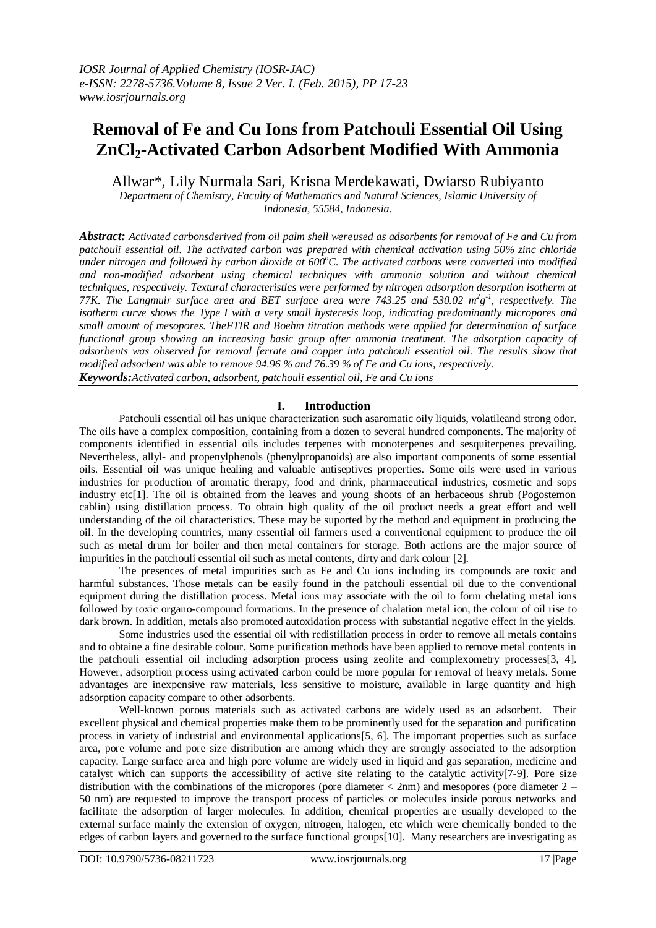# **Removal of Fe and Cu Ions from Patchouli Essential Oil Using ZnCl2-Activated Carbon Adsorbent Modified With Ammonia**

Allwar\*, Lily Nurmala Sari, Krisna Merdekawati, Dwiarso Rubiyanto

*Department of Chemistry, Faculty of Mathematics and Natural Sciences, Islamic University of Indonesia, 55584, Indonesia.*

*Abstract: Activated carbonsderived from oil palm shell wereused as adsorbents for removal of Fe and Cu from patchouli essential oil. The activated carbon was prepared with chemical activation using 50% zinc chloride under nitrogen and followed by carbon dioxide at 600<sup>o</sup>C. The activated carbons were converted into modified and non-modified adsorbent using chemical techniques with ammonia solution and without chemical techniques, respectively. Textural characteristics were performed by nitrogen adsorption desorption isotherm at*  77K. The Langmuir surface area and BET surface area were 743.25 and 530.02  $m^2g^{-1}$ , respectively. The *isotherm curve shows the Type I with a very small hysteresis loop, indicating predominantly micropores and small amount of mesopores. TheFTIR and Boehm titration methods were applied for determination of surface functional group showing an increasing basic group after ammonia treatment. The adsorption capacity of adsorbents was observed for removal ferrate and copper into patchouli essential oil. The results show that modified adsorbent was able to remove 94.96 % and 76.39 % of Fe and Cu ions, respectively. Keywords:Activated carbon, adsorbent, patchouli essential oil, Fe and Cu ions*

## **I. Introduction**

Patchouli [essential oil](http://www.aromatherapybible.com/using-essential-oils-and-plants.html) has unique characterization such asaromatic oily liquids, volatileand strong odor. The oils have a complex composition, containing from a dozen to several hundred components. The majority of components identified in essential oils includes terpenes with monoterpenes and sesquiterpenes prevailing. Nevertheless, allyl- and propenylphenols (phenylpropanoids) are also important components of some essential oils. Essential oil was unique healing and valuable antiseptives properties. Some oils were used in various industries for production of aromatic therapy, food and drink, pharmaceutical industries, cosmetic and sops industry etc[1]. The oil is obtained from the leaves and young shoots of an herbaceous shrub (Pogostemon cablin) using distillation process. To obtain high quality of the oil product needs a great effort and well understanding of the oil characteristics. These may be suported by the method and equipment in producing the oil. In the developing countries, many essential oil farmers used a conventional equipment to produce the oil such as metal drum for boiler and then metal containers for storage. Both actions are the major source of impurities in the patchouli essential oil such as metal contents, dirty and dark colour [2].

The presences of metal impurities such as Fe and Cu ions including its compounds are toxic and harmful substances. Those metals can be easily found in the patchouli essential oil due to the conventional equipment during the distillation process. Metal ions may associate with the oil to form chelating metal ions followed by toxic organo-compound formations. In the presence of chalation metal ion, the colour of oil rise to dark brown. In addition, metals also promoted autoxidation process with substantial negative effect in the yields.

Some industries used the essential oil with redistillation process in order to remove all metals contains and to obtaine a fine desirable colour. Some purification methods have been applied to remove metal contents in the patchouli essential oil including adsorption process using zeolite and complexometry processes[3, 4]. However, adsorption process using activated carbon could be more popular for removal of heavy metals. Some advantages are inexpensive raw materials, less sensitive to moisture, available in large quantity and high adsorption capacity compare to other adsorbents.

Well-known porous materials such as activated carbons are widely used as an adsorbent. Their excellent physical and chemical properties make them to be prominently used for the separation and purification process in variety of industrial and environmental applications[5, 6]. The important properties such as surface area, pore volume and pore size distribution are among which they are strongly associated to the adsorption capacity. Large surface area and high pore volume are widely used in liquid and gas separation, medicine and catalyst which can supports the accessibility of active site relating to the catalytic activity[7-9]. Pore size distribution with the combinations of the micropores (pore diameter < 2nm) and mesopores (pore diameter 2 – 50 nm) are requested to improve the transport process of particles or molecules inside porous networks and facilitate the adsorption of larger molecules. In addition, chemical properties are usually developed to the external surface mainly the extension of oxygen, nitrogen, halogen, etc which were chemically bonded to the edges of carbon layers and governed to the surface functional groups[10]. Many researchers are investigating as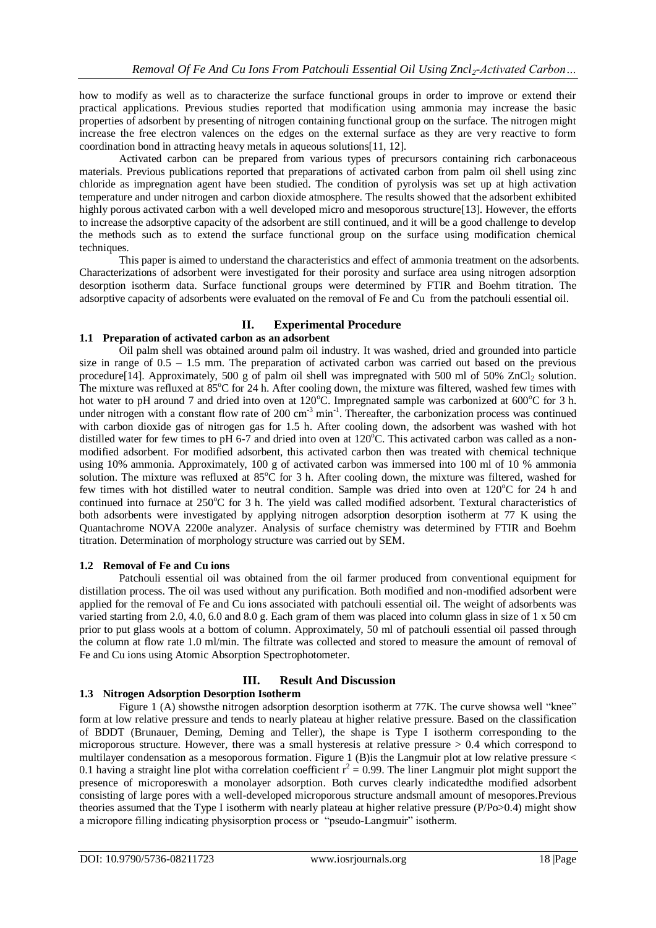how to modify as well as to characterize the surface functional groups in order to improve or extend their practical applications. Previous studies reported that modification using ammonia may increase the basic properties of adsorbent by presenting of nitrogen containing functional group on the surface. The nitrogen might increase the free electron valences on the edges on the external surface as they are very reactive to form coordination bond in attracting heavy metals in aqueous solutions[11, 12].

Activated carbon can be prepared from various types of precursors containing rich carbonaceous materials. Previous publications reported that preparations of activated carbon from palm oil shell using zinc chloride as impregnation agent have been studied. The condition of pyrolysis was set up at high activation temperature and under nitrogen and carbon dioxide atmosphere. The results showed that the adsorbent exhibited highly porous activated carbon with a well developed micro and mesoporous structure[13]. However, the efforts to increase the adsorptive capacity of the adsorbent are still continued, and it will be a good challenge to develop the methods such as to extend the surface functional group on the surface using modification chemical techniques.

This paper is aimed to understand the characteristics and effect of ammonia treatment on the adsorbents. Characterizations of adsorbent were investigated for their porosity and surface area using nitrogen adsorption desorption isotherm data. Surface functional groups were determined by FTIR and Boehm titration. The adsorptive capacity of adsorbents were evaluated on the removal of Fe and Cu from the patchouli essential oil.

# **II. Experimental Procedure**

# **1.1 Preparation of activated carbon as an adsorbent**

Oil palm shell was obtained around palm oil industry. It was washed, dried and grounded into particle size in range of  $0.5 - 1.5$  mm. The preparation of activated carbon was carried out based on the previous procedure<sup>[14]</sup>. Approximately, 500 g of palm oil shell was impregnated with 500 ml of 50% ZnCl<sub>2</sub> solution. The mixture was refluxed at  $85^{\circ}$ C for 24 h. After cooling down, the mixture was filtered, washed few times with hot water to pH around 7 and dried into oven at 120°C. Impregnated sample was carbonized at 600°C for 3 h. under nitrogen with a constant flow rate of 200 cm<sup>-3</sup> min<sup>-1</sup>. Thereafter, the carbonization process was continued with carbon dioxide gas of nitrogen gas for 1.5 h. After cooling down, the adsorbent was washed with hot distilled water for few times to pH 6-7 and dried into oven at  $120^{\circ}$ C. This activated carbon was called as a nonmodified adsorbent. For modified adsorbent, this activated carbon then was treated with chemical technique using 10% ammonia. Approximately, 100 g of activated carbon was immersed into 100 ml of 10 % ammonia solution. The mixture was refluxed at  $85^{\circ}$ C for 3 h. After cooling down, the mixture was filtered, washed for few times with hot distilled water to neutral condition. Sample was dried into oven at 120°C for 24 h and continued into furnace at 250°C for 3 h. The yield was called modified adsorbent. Textural characteristics of both adsorbents were investigated by applying nitrogen adsorption desorption isotherm at 77 K using the Quantachrome NOVA 2200e analyzer. Analysis of surface chemistry was determined by FTIR and Boehm titration. Determination of morphology structure was carried out by SEM.

## **1.2 Removal of Fe and Cu ions**

Patchouli essential oil was obtained from the oil farmer produced from conventional equipment for distillation process. The oil was used without any purification. Both modified and non-modified adsorbent were applied for the removal of Fe and Cu ions associated with patchouli essential oil. The weight of adsorbents was varied starting from 2.0, 4.0, 6.0 and 8.0 g. Each gram of them was placed into column glass in size of 1 x 50 cm prior to put glass wools at a bottom of column. Approximately, 50 ml of patchouli essential oil passed through the column at flow rate 1.0 ml/min. The filtrate was collected and stored to measure the amount of removal of Fe and Cu ions using Atomic Absorption Spectrophotometer.

## **III. Result And Discussion**

# **1.3 Nitrogen Adsorption Desorption Isotherm**

Figure 1 (A) shows the nitrogen adsorption desorption isotherm at 77K. The curve shows a well "knee" form at low relative pressure and tends to nearly plateau at higher relative pressure. Based on the classification of BDDT (Brunauer, Deming, Deming and Teller), the shape is Type I isotherm corresponding to the microporous structure. However, there was a small hysteresis at relative pressure  $> 0.4$  which correspond to multilayer condensation as a mesoporous formation. Figure 1 (B)is the Langmuir plot at low relative pressure < 0.1 having a straight line plot witha correlation coefficient  $r^2 = 0.99$ . The liner Langmuir plot might support the presence of microporeswith a monolayer adsorption. Both curves clearly indicatedthe modified adsorbent consisting of large pores with a well-developed microporous structure andsmall amount of mesopores.Previous theories assumed that the Type I isotherm with nearly plateau at higher relative pressure (P/Po>0.4) might show a micropore filling indicating physisorption process or "pseudo-Langmuir" isotherm.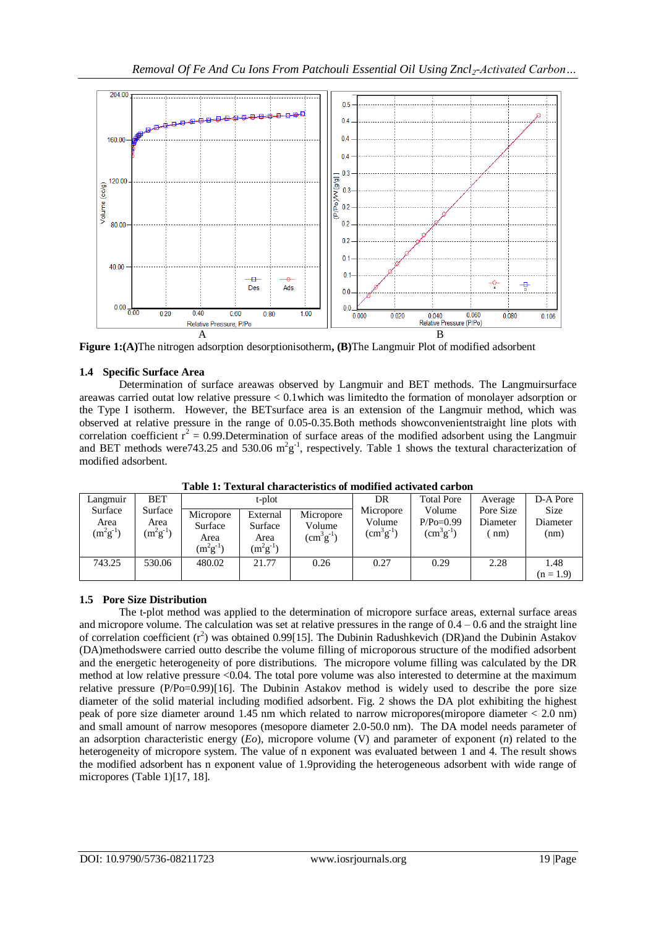

**Figure 1:(A)**The nitrogen adsorption desorptionisotherm**, (B)**The Langmuir Plot of modified adsorbent

# **1.4 Specific Surface Area**

Determination of surface areawas observed by Langmuir and BET methods. The Langmuirsurface areawas carried outat low relative pressure < 0.1which was limitedto the formation of monolayer adsorption or the Type I isotherm. However, the BETsurface area is an extension of the Langmuir method, which was observed at relative pressure in the range of 0.05-0.35.Both methods showconvenientstraight line plots with correlation coefficient  $r^2 = 0.99$ . Determination of surface areas of the modified adsorbent using the Langmuir and BET methods were 743.25 and 530.06  $m^2g^{-1}$ , respectively. Table 1 shows the textural characterization of modified adsorbent.

| Langmuir                         | <b>BET</b>                       | t-plot                                        |                                              |                                         | DR                                      | <b>Total Pore</b>                         | Average                       | D-A Pore                 |
|----------------------------------|----------------------------------|-----------------------------------------------|----------------------------------------------|-----------------------------------------|-----------------------------------------|-------------------------------------------|-------------------------------|--------------------------|
| Surface<br>Area<br>$(m^2g^{-1})$ | Surface<br>Area<br>$(m^2g^{-1})$ | Micropore<br>Surface<br>Area<br>$(m^2g^{-1})$ | External<br>Surface<br>Area<br>$(m^2g^{-1})$ | Micropore<br>Volume<br>$(cm^{3}g^{-1})$ | Micropore<br>Volume<br>$(cm^{3}g^{-1})$ | Volume<br>$P/Po=0.99$<br>$(cm^{3}g^{-1})$ | Pore Size<br>Diameter<br>(mm) | Size<br>Diameter<br>(nm) |
| 743.25                           | 530.06                           | 480.02                                        | 21.77                                        | 0.26                                    | 0.27                                    | 0.29                                      | 2.28                          | 1.48<br>$(n = 1.9)$      |

**Table 1: Textural characteristics of modified activated carbon**

# **1.5 Pore Size Distribution**

The t-plot method was applied to the determination of micropore surface areas, external surface areas and micropore volume. The calculation was set at relative pressures in the range of  $0.4 - 0.6$  and the straight line of correlation coefficient  $(r^2)$  was obtained 0.99[15]. The Dubinin Radushkevich (DR)and the Dubinin Astakov (DA)methodswere carried outto describe the volume filling of microporous structure of the modified adsorbent and the energetic heterogeneity of pore distributions. The micropore volume filling was calculated by the DR method at low relative pressure <0.04. The total pore volume was also interested to determine at the maximum relative pressure (P/Po=0.99)[16]. The Dubinin Astakov method is widely used to describe the pore size diameter of the solid material including modified adsorbent. Fig. 2 shows the DA plot exhibiting the highest peak of pore size diameter around 1.45 nm which related to narrow micropores(miropore diameter < 2.0 nm) and small amount of narrow mesopores (mesopore diameter 2.0-50.0 nm). The DA model needs parameter of an adsorption characteristic energy (*Eo*), micropore volume (V) and parameter of exponent (*n*) related to the heterogeneity of micropore system. The value of n exponent was evaluated between 1 and 4. The result shows the modified adsorbent has n exponent value of 1.9providing the heterogeneous adsorbent with wide range of micropores (Table 1)[17, 18].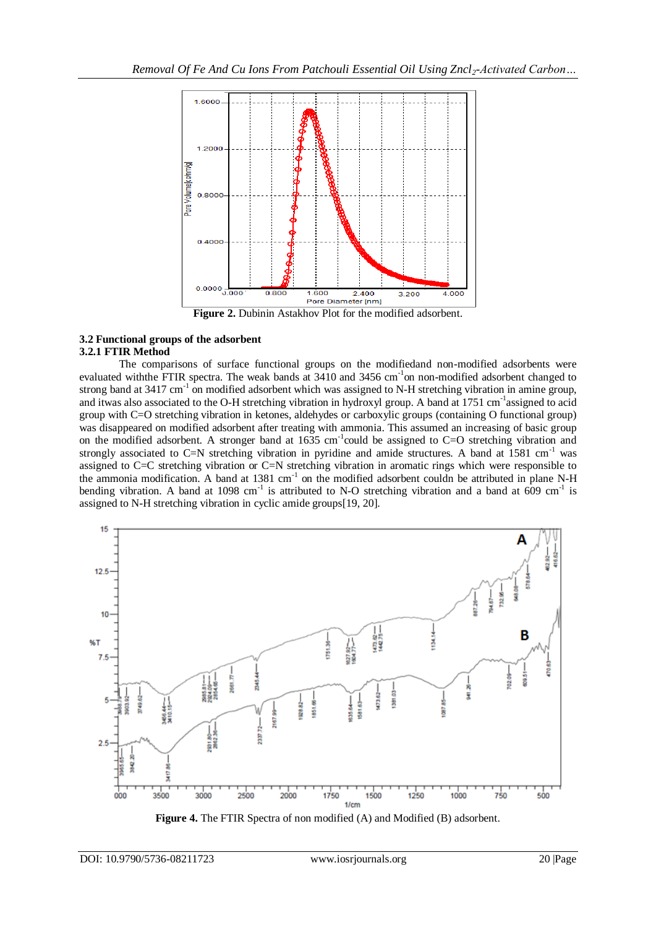

**Figure 2.** Dubinin Astakhov Plot for the modified adsorbent.

#### **3.2 Functional groups of the adsorbent 3.2.1 FTIR Method**

The comparisons of surface functional groups on the modifiedand non-modified adsorbents were evaluated with the FTIR spectra. The weak bands at 3410 and 3456 cm<sup>-1</sup>on non-modified adsorbent changed to strong band at 3417 cm<sup>-1</sup> on modified adsorbent which was assigned to N-H stretching vibration in amine group, and itwas also associated to the O-H stretching vibration in hydroxyl group. A band at 1751 cm<sup>-1</sup>assigned to acid group with C=O stretching vibration in ketones, aldehydes or carboxylic groups (containing O functional group) was disappeared on modified adsorbent after treating with ammonia. This assumed an increasing of basic group on the modified adsorbent. A stronger band at  $1635 \text{ cm}^{-1}$ could be assigned to C=O stretching vibration and strongly associated to C=N stretching vibration in pyridine and amide structures. A band at 1581 cm<sup>-1</sup> was assigned to C=C stretching vibration or C=N stretching vibration in aromatic rings which were responsible to the ammonia modification. A band at 1381 cm<sup>-1</sup> on the modified adsorbent couldn be attributed in plane N-H bending vibration. A band at 1098 cm<sup>-1</sup> is attributed to N-O stretching vibration and a band at  $\overline{609}$  cm<sup>-1</sup> is assigned to N-H stretching vibration in cyclic amide groups[19, 20].



Figure 4. The FTIR Spectra of non modified (A) and Modified (B) adsorbent.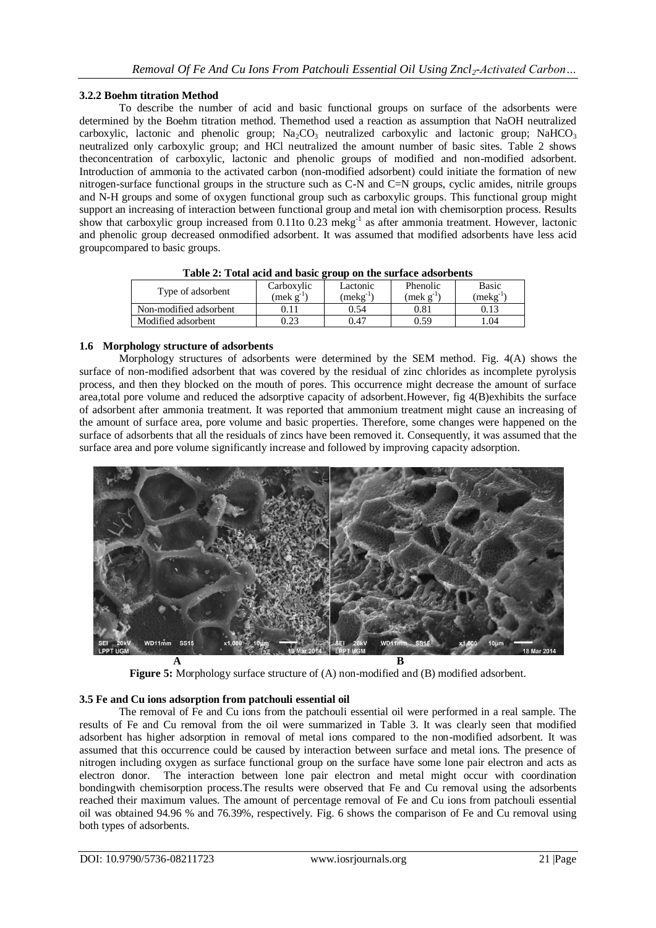## **3.2.2 Boehm titration Method**

To describe the number of acid and basic functional groups on surface of the adsorbents were determined by the Boehm titration method. Themethod used a reaction as assumption that NaOH neutralized carboxylic, lactonic and phenolic group;  $Na_2CO_3$  neutralized carboxylic and lactonic group; NaHCO<sub>3</sub> neutralized only carboxylic group; and HCl neutralized the amount number of basic sites. Table 2 shows theconcentration of carboxylic, lactonic and phenolic groups of modified and non-modified adsorbent. Introduction of ammonia to the activated carbon (non-modified adsorbent) could initiate the formation of new nitrogen-surface functional groups in the structure such as C-N and C=N groups, cyclic amides, nitrile groups and N-H groups and some of oxygen functional group such as carboxylic groups. This functional group might support an increasing of interaction between functional group and metal ion with chemisorption process. Results show that carboxylic group increased from 0.11to 0.23 mekg<sup>-1</sup> as after ammonia treatment. However, lactonic and phenolic group decreased onmodified adsorbent. It was assumed that modified adsorbents have less acid groupcompared to basic groups.

| Type of adsorbent      | Carboxylic        | Lactonic    | Phenolic        | Basic      |
|------------------------|-------------------|-------------|-----------------|------------|
|                        | $(mek \; g^{-1})$ | $mekg^{-1}$ | $mek \, g^{-1}$ | $(mekg-1)$ |
| Non-modified adsorbent |                   | 0.54        | $\rm 0.81$      | 0.13       |
| Modified adsorbent     | 0.23              | 0.47        | 0.59            | 1.04       |

#### **1.6 Morphology structure of adsorbents**

Morphology structures of adsorbents were determined by the SEM method. Fig. 4(A) shows the surface of non-modified adsorbent that was covered by the residual of zinc chlorides as incomplete pyrolysis process, and then they blocked on the mouth of pores. This occurrence might decrease the amount of surface area,total pore volume and reduced the adsorptive capacity of adsorbent.However, fig 4(B)exhibits the surface of adsorbent after ammonia treatment. It was reported that ammonium treatment might cause an increasing of the amount of surface area, pore volume and basic properties. Therefore, some changes were happened on the surface of adsorbents that all the residuals of zincs have been removed it. Consequently, it was assumed that the surface area and pore volume significantly increase and followed by improving capacity adsorption.



**Figure 5:** Morphology surface structure of (A) non-modified and (B) modified adsorbent.

## **3.5 Fe and Cu ions adsorption from patchouli essential oil**

The removal of Fe and Cu ions from the patchouli essential oil were performed in a real sample. The results of Fe and Cu removal from the oil were summarized in Table 3. It was clearly seen that modified adsorbent has higher adsorption in removal of metal ions compared to the non-modified adsorbent. It was assumed that this occurrence could be caused by interaction between surface and metal ions. The presence of nitrogen including oxygen as surface functional group on the surface have some lone pair electron and acts as electron donor. The interaction between lone pair electron and metal might occur with coordination bondingwith chemisorption process.The results were observed that Fe and Cu removal using the adsorbents reached their maximum values. The amount of percentage removal of Fe and Cu ions from patchouli essential oil was obtained 94.96 % and 76.39%, respectively. Fig. 6 shows the comparison of Fe and Cu removal using both types of adsorbents.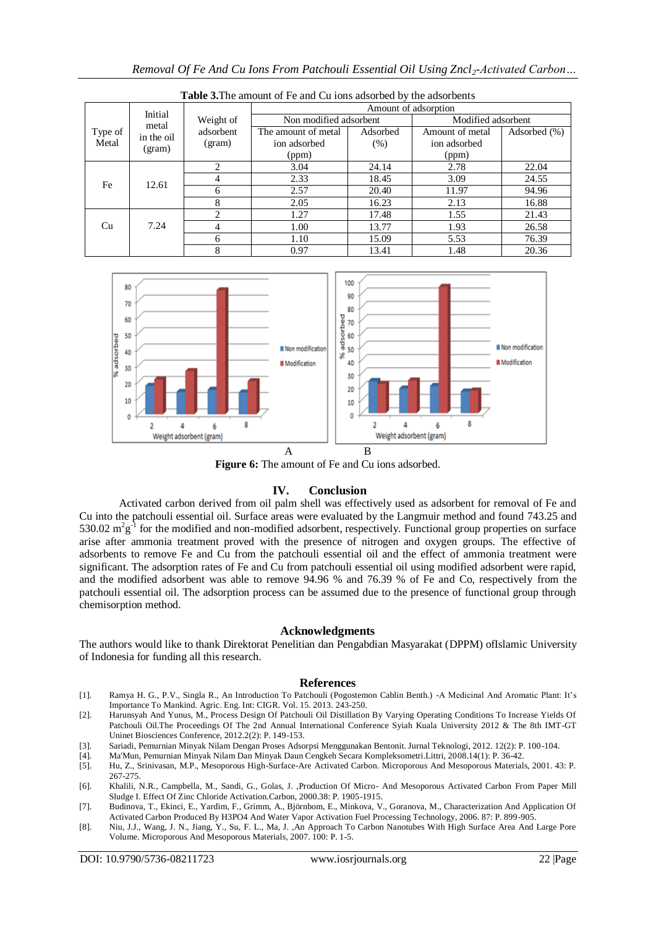| <b>Table 3.</b> The amount of Fe and Cu jons adsorbed by the adsorbents |                                          |                        |                        |          |                    |              |  |  |
|-------------------------------------------------------------------------|------------------------------------------|------------------------|------------------------|----------|--------------------|--------------|--|--|
| Type of<br>Metal                                                        | Initial<br>metal<br>in the oil<br>(gram) | Weight of<br>adsorbent | Amount of adsorption   |          |                    |              |  |  |
|                                                                         |                                          |                        | Non modified adsorbent |          | Modified adsorbent |              |  |  |
|                                                                         |                                          |                        | The amount of metal    | Adsorbed | Amount of metal    | Adsorbed (%) |  |  |
|                                                                         |                                          | (gram)                 | ion adsorbed           | (% )     | ion adsorbed       |              |  |  |
|                                                                         |                                          |                        | (ppm)                  |          | (ppm)              |              |  |  |
| Fe                                                                      | 12.61                                    | 2                      | 3.04                   | 24.14    | 2.78               | 22.04        |  |  |
|                                                                         |                                          | 4                      | 2.33                   | 18.45    | 3.09               | 24.55        |  |  |
|                                                                         |                                          | 6                      | 2.57                   | 20.40    | 11.97              | 94.96        |  |  |
|                                                                         |                                          | 8                      | 2.05                   | 16.23    | 2.13               | 16.88        |  |  |
| Cu                                                                      | 7.24                                     | 2                      | 1.27                   | 17.48    | 1.55               | 21.43        |  |  |
|                                                                         |                                          | 4                      | 1.00                   | 13.77    | 1.93               | 26.58        |  |  |
|                                                                         |                                          | 6                      | 1.10                   | 15.09    | 5.53               | 76.39        |  |  |
|                                                                         |                                          | 8                      | 0.97                   | 13.41    | 1.48               | 20.36        |  |  |

*Removal Of Fe And Cu Ions From Patchouli Essential Oil Using Zncl2-Activated Carbon…*



**Table 3.**The amount of Fe and Cu ions adsorbed by the adsorbents

Figure 6: The amount of Fe and Cu ions adsorbed.

#### **IV. Conclusion**

Activated carbon derived from oil palm shell was effectively used as adsorbent for removal of Fe and Cu into the patchouli essential oil. Surface areas were evaluated by the Langmuir method and found 743.25 and 530.02  $m^2g^{-1}$  for the modified and non-modified adsorbent, respectively. Functional group properties on surface arise after ammonia treatment proved with the presence of nitrogen and oxygen groups. The effective of adsorbents to remove Fe and Cu from the patchouli essential oil and the effect of ammonia treatment were significant. The adsorption rates of Fe and Cu from patchouli essential oil using modified adsorbent were rapid, and the modified adsorbent was able to remove 94.96 % and 76.39 % of Fe and Co, respectively from the patchouli essential oil. The adsorption process can be assumed due to the presence of functional group through chemisorption method.

#### **Acknowledgments**

The authors would like to thank Direktorat Penelitian dan Pengabdian Masyarakat (DPPM) ofIslamic University of Indonesia for funding all this research.

#### **References**

- [1]. Ramya H. G., P.V., Singla R., An Introduction To Patchouli (Pogostemon Cablin Benth.) -A Medicinal And Aromatic Plant: It's Importance To Mankind. Agric. Eng. Int: CIGR. Vol. 15. 2013. 243-250.
- [2]. Harunsyah And Yunus, M., Process Design Of Patchouli Oil Distillation By Varying Operating Conditions To Increase Yields Of Patchouli Oil.The Proceedings Of The 2nd Annual International Conference Syiah Kuala University 2012 & The 8th IMT-GT Uninet Biosciences Conference, 2012.2(2): P. 149-153.
- [3]. Sariadi, Pemurnian Minyak Nilam Dengan Proses Adsorpsi Menggunakan Bentonit. Jurnal Teknologi, 2012. 12(2): P. 100-104.
- [4]. Ma'Mun, Pemurnian Minyak Nilam Dan Minyak Daun Cengkeh Secara Kompleksometri.Littri, 2008.14(1): P. 36-42.
- [5]. Hu, Z., Srinivasan, M.P., Mesoporous High-Surface-Are Activated Carbon. Microporous And Mesoporous Materials, 2001. 43: P. 267-275.
- [6]. Khalili, N.R., Campbella, M., Sandi, G., Golas, J. ,Production Of Micro- And Mesoporous Activated Carbon From Paper Mill Sludge I. Effect Of Zinc Chloride Activation.Carbon, 2000.38: P. 1905-1915.
- [7]. Budinova, T., Ekinci, E., Yardim, F., Grimm, A., Björnbom, E., Minkova, V., Goranova, M., Characterization And Application Of Activated Carbon Produced By H3PO4 And Water Vapor Activation Fuel Processing Technology, 2006. 87: P. 899-905.
- [8]. Niu, J.J., Wang, J. N., Jiang, Y., Su, F. L., Ma, J. ,An Approach To Carbon Nanotubes With High Surface Area And Large Pore Volume. Microporous And Mesoporous Materials, 2007. 100: P. 1-5.